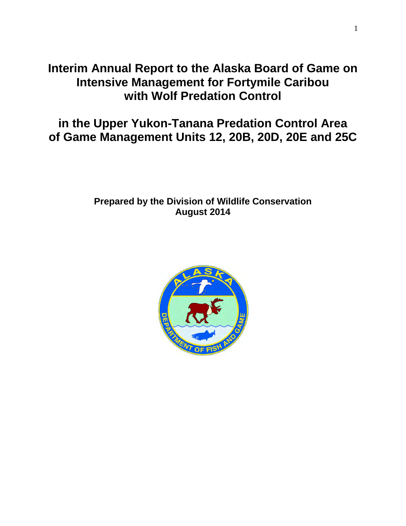# **Interim Annual Report to the Alaska Board of Game on Intensive Management for Fortymile Caribou with Wolf Predation Control**

# **in the Upper Yukon-Tanana Predation Control Area of Game Management Units 12, 20B, 20D, 20E and 25C**

# **Prepared by the Division of Wildlife Conservation August 2014**

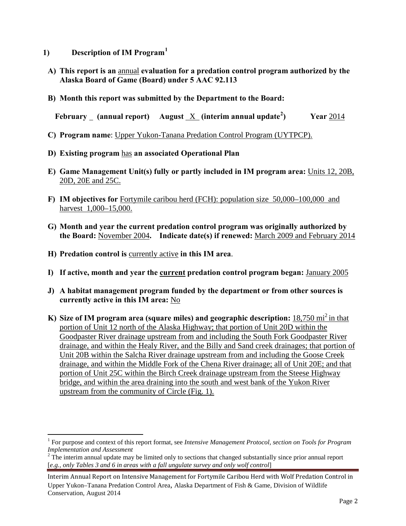- **1) Description of IM Program[1](#page-1-0)**
- **A) This report is an** annual **evaluation for a predation control program authorized by the Alaska Board of Game (Board) under 5 AAC 92.113**
- **B) Month this report was submitted by the Department to the Board:**

**February (annual report) August** X **(interim annual update[2](#page-1-1) ) Year** 2014

- **C) Program name**: Upper Yukon-Tanana Predation Control Program (UYTPCP).
- **D) Existing program** has **an associated Operational Plan**
- **E) Game Management Unit(s) fully or partly included in IM program area:** Units 12, 20B, 20D, 20E and 25C.
- **F) IM objectives for** Fortymile caribou herd (FCH): population size 50,000–100,000 and harvest 1,000–15,000.
- **G) Month and year the current predation control program was originally authorized by the Board:** November 2004**. Indicate date(s) if renewed:** March 2009 and February 2014
- **H) Predation control is** currently active **in this IM area**.
- **I) If active, month and year the current predation control program began:** January 2005
- **J) A habitat management program funded by the department or from other sources is currently active in this IM area:** No
- **K)** Size of IM program area (square miles) and geographic description: 18,750 mi<sup>2</sup> in that portion of Unit 12 north of the Alaska Highway; that portion of Unit 20D within the Goodpaster River drainage upstream from and including the South Fork Goodpaster River drainage, and within the Healy River, and the Billy and Sand creek drainages; that portion of Unit 20B within the Salcha River drainage upstream from and including the Goose Creek drainage, and within the Middle Fork of the Chena River drainage; all of Unit 20E; and that portion of Unit 25C within the Birch Creek drainage upstream from the Steese Highway bridge, and within the area draining into the south and west bank of the Yukon River upstream from the community of Circle (Fig. 1).

<span id="page-1-0"></span> $\overline{a}$ <sup>1</sup> For purpose and context of this report format, see *Intensive Management Protocol, section on Tools for Program Implementation and Assessment* 

<span id="page-1-1"></span><sup>&</sup>lt;sup>2</sup> The interim annual update may be limited only to sections that changed substantially since prior annual report [*e.g., only Tables 3 and 6 in areas with a fall ungulate survey and only wolf control*]

Interim Annual Report on Intensive Management for Fortymile Caribou Herd with Wolf Predation Control in Upper Yukon–Tanana Predation Control Area, Alaska Department of Fish & Game, Division of Wildlife Conservation, August 2014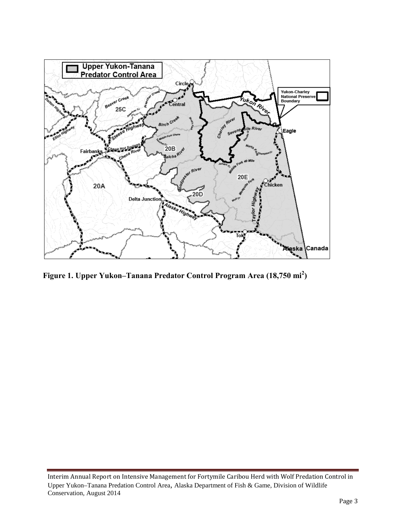

**Figure 1. Upper Yukon–Tanana Predator Control Program Area (18,750 mi<sup>2</sup> )** 

Interim Annual Report on Intensive Management for Fortymile Caribou Herd with Wolf Predation Control in Upper Yukon–Tanana Predation Control Area, Alaska Department of Fish & Game, Division of Wildlife Conservation, August 2014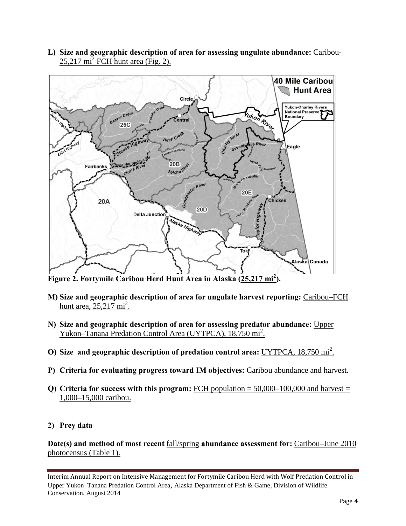**L) Size and geographic description of area for assessing ungulate abundance:** Caribou- $25,217 \text{ mi}^2$  FCH hunt area (Fig. 2).



**Figure 2. Fortymile Caribou Herd Hunt Area in Alaska (25,217 mi<sup>2</sup> ).**

- **M) Size and geographic description of area for ungulate harvest reporting:** Caribou–FCH hunt area,  $25,217 \text{ mi}^2$ .
- **N) Size and geographic description of area for assessing predator abundance:** Upper Yukon–Tanana Predation Control Area (UYTPCA), 18,750 mi<sup>2</sup>.
- **O)** Size and geographic description of predation control area: UYTPCA, 18,750 mi<sup>2</sup>.
- **P) Criteria for evaluating progress toward IM objectives:** Caribou abundance and harvest.
- **Q) Criteria for success with this program:** FCH population = 50,000–100,000 and harvest = 1,000–15,000 caribou.

# **2) Prey data**

**Date(s) and method of most recent** fall/spring **abundance assessment for:** Caribou–June 2010 photocensus (Table 1).

Interim Annual Report on Intensive Management for Fortymile Caribou Herd with Wolf Predation Control in Upper Yukon–Tanana Predation Control Area, Alaska Department of Fish & Game, Division of Wildlife Conservation, August 2014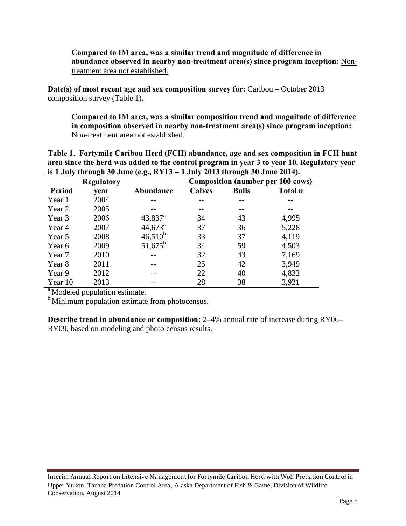## **Compared to IM area, was a similar trend and magnitude of difference in abundance observed in nearby non-treatment area(s) since program inception:** Nontreatment area not established.

**Date(s) of most recent age and sex composition survey for:** Caribou – October 2013 composition survey (Table 1).

**Compared to IM area, was a similar composition trend and magnitude of difference in composition observed in nearby non-treatment area(s) since program inception:** Non-treatment area not established.

**Table 1**. **Fortymile Caribou Herd (FCH) abundance, age and sex composition in FCH hunt area since the herd was added to the control program in year 3 to year 10. Regulatory year is 1 July through 30 June (e.g., RY13 = 1 July 2013 through 30 June 2014).**

|               | -<br>$\sim$<br><b>Regulatory</b> |                  |               | o<br><b>Composition (number per 100 cows)</b> |                |  |  |  |
|---------------|----------------------------------|------------------|---------------|-----------------------------------------------|----------------|--|--|--|
| <b>Period</b> | vear                             | Abundance        | <b>Calves</b> | <b>Bulls</b>                                  | Total <i>n</i> |  |  |  |
| Year 1        | 2004                             |                  |               |                                               |                |  |  |  |
| Year 2        | 2005                             |                  |               |                                               |                |  |  |  |
| Year 3        | 2006                             | $43,837^{\rm a}$ | 34            | 43                                            | 4,995          |  |  |  |
| Year 4        | 2007                             | $44,673^{\circ}$ | 37            | 36                                            | 5,228          |  |  |  |
| Year 5        | 2008                             | $46,510^b$       | 33            | 37                                            | 4,119          |  |  |  |
| Year 6        | 2009                             | $51,675^{\rm b}$ | 34            | 59                                            | 4,503          |  |  |  |
| Year 7        | 2010                             |                  | 32            | 43                                            | 7,169          |  |  |  |
| Year 8        | 2011                             |                  | 25            | 42                                            | 3,949          |  |  |  |
| Year 9        | 2012                             |                  | 22            | 40                                            | 4,832          |  |  |  |
| Year 10       | 2013                             |                  | 28            | 38                                            | 3,921          |  |  |  |

 $^{\text{a}}$  Modeled population estimate.

<sup>b</sup> Minimum population estimate from photocensus.

**Describe trend in abundance or composition:** 2–4% annual rate of increase during RY06– RY09, based on modeling and photo census results.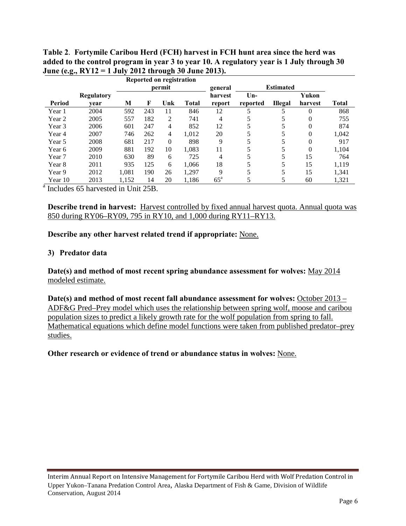|                                    |            |        |     | Reported on registration |              |                   |                  |                |         |       |
|------------------------------------|------------|--------|-----|--------------------------|--------------|-------------------|------------------|----------------|---------|-------|
|                                    |            | permit |     |                          |              | general           | <b>Estimated</b> |                |         |       |
|                                    | Regulatory |        |     | harvest                  | $Un-$        | Yukon             |                  |                |         |       |
| Period                             | vear       | M      | F   | Unk                      | <b>Total</b> | report            | reported         | <b>Illegal</b> | harvest | Total |
| Year 1                             | 2004       | 592    | 243 | 11                       | 846          | 12                | 5                | 5              | 0       | 868   |
| Year 2                             | 2005       | 557    | 182 | 2                        | 741          | 4                 |                  | 5              | 0       | 755   |
| Year 3                             | 2006       | 601    | 247 | 4                        | 852          | 12                |                  | 5              | 0       | 874   |
| Year 4                             | 2007       | 746    | 262 | 4                        | 1.012        | 20                |                  | 5              | 0       | 1,042 |
| Year 5                             | 2008       | 681    | 217 | $\overline{0}$           | 898          | 9                 |                  | 5              | 0       | 917   |
| Year 6                             | 2009       | 881    | 192 | 10                       | 1.083        | 11                |                  | 5              | 0       | 1.104 |
| Year 7                             | 2010       | 630    | 89  | 6                        | 725          | 4                 | 5                | 5              | 15      | 764   |
| Year 8                             | 2011       | 935    | 125 | 6                        | 1.066        | 18                |                  | 5              | 15      | 1.119 |
| Year 9                             | 2012       | 1.081  | 190 | 26                       | 1,297        | 9                 | 5                | 5              | 15      | 1,341 |
| Year 10                            | 2013       | 1,152  | 14  | 20                       | 1,186        | $65^{\mathrm{a}}$ | 5                | 5              | 60      | 1,321 |
| Includes 65 harvested in Unit 25B. |            |        |     |                          |              |                   |                  |                |         |       |

**Table 2**. **Fortymile Caribou Herd (FCH) harvest in FCH hunt area since the herd was added to the control program in year 3 to year 10. A regulatory year is 1 July through 30 June (e.g., RY12 = 1 July 2012 through 30 June 2013).** 

**Describe trend in harvest:** Harvest controlled by fixed annual harvest quota. Annual quota was 850 during RY06–RY09, 795 in RY10, and 1,000 during RY11–RY13.

**Describe any other harvest related trend if appropriate:** None.

### **3) Predator data**

**Date(s) and method of most recent spring abundance assessment for wolves:** May 2014 modeled estimate.

**Date(s) and method of most recent fall abundance assessment for wolves:** October 2013 – ADF&G Pred–Prey model which uses the relationship between spring wolf, moose and caribou population sizes to predict a likely growth rate for the wolf population from spring to fall. Mathematical equations which define model functions were taken from published predator–prey studies.

### **Other research or evidence of trend or abundance status in wolves:** None.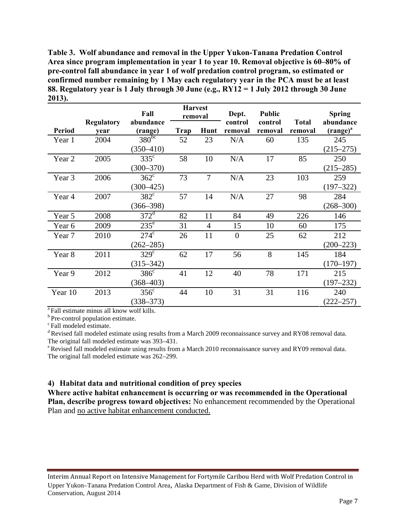**Table 3. Wolf abundance and removal in the Upper Yukon-Tanana Predation Control Area since program implementation in year 1 to year 10. Removal objective is 60–80% of pre-control fall abundance in year 1 of wolf predation control program, so estimated or confirmed number remaining by 1 May each regulatory year in the PCA must be at least 88. Regulatory year is 1 July through 30 June (e.g., RY12 = 1 July 2012 through 30 June 2013).** 

|               |                           | Fall                 | <b>Harvest</b><br>removal |                | Dept.              | <b>Public</b>      |                         | <b>Spring</b>              |
|---------------|---------------------------|----------------------|---------------------------|----------------|--------------------|--------------------|-------------------------|----------------------------|
| <b>Period</b> | <b>Regulatory</b><br>year | abundance<br>(range) | Trap                      | Hunt           | control<br>removal | control<br>removal | <b>Total</b><br>removal | abundance<br>$(range)^{a}$ |
| Year 1        | 2004                      | $380^{bc}$           | 52                        | 23             | N/A                | 60                 | 135                     | 245                        |
|               |                           | $(350 - 410)$        |                           |                |                    |                    |                         | $(215 - 275)$              |
| Year 2        | 2005                      | $335^{\circ}$        | 58                        | 10             | N/A                | 17                 | 85                      | 250                        |
|               |                           | $(300 - 370)$        |                           |                |                    |                    |                         | $(215 - 285)$              |
| Year 3        | 2006                      | $362^{\circ}$        | 73                        | $\overline{7}$ | N/A                | 23                 | 103                     | 259                        |
|               |                           | $(300 - 425)$        |                           |                |                    |                    |                         | $(197 - 322)$              |
| Year 4        | 2007                      | $382^{\circ}$        | 57                        | 14             | N/A                | 27                 | 98                      | 284                        |
|               |                           | $(366 - 398)$        |                           |                |                    |                    |                         | $(268 - 300)$              |
| Year 5        | 2008                      | $372^{\mathrm{d}}$   | 82                        | 11             | 84                 | 49                 | 226                     | 146                        |
| Year 6        | 2009                      | $235^{\circ}$        | 31                        | 4              | 15                 | 10                 | 60                      | 175                        |
| Year 7        | 2010                      | $274^{\circ}$        | 26                        | 11             | $\overline{0}$     | 25                 | 62                      | 212                        |
|               |                           | $(262 - 285)$        |                           |                |                    |                    |                         | $(200 - 223)$              |
| Year 8        | 2011                      | $329^\circ$          | 62                        | 17             | 56                 | 8                  | 145                     | 184                        |
|               |                           | $(315 - 342)$        |                           |                |                    |                    |                         | $(170 - 197)$              |
| Year 9        | 2012                      | $386^{\circ}$        | 41                        | 12             | 40                 | 78                 | 171                     | 215                        |
|               |                           | $(368 - 403)$        |                           |                |                    |                    |                         | $(197 - 232)$              |
| Year 10       | 2013                      | $356^{\circ}$        | 44                        | 10             | 31                 | 31                 | 116                     | 240                        |
|               |                           | $(338 - 373)$        |                           |                |                    |                    |                         | $(222 - 257)$              |

<sup>a</sup> Fall estimate minus all know wolf kills.

 $\rm ^b$  Pre-control population estimate.  $\rm ^c$  Fall modeled estimate.

<sup>d</sup> Revised fall modeled estimate using results from a March 2009 reconnaissance survey and RY08 removal data.<br>The original fall modeled estimate was 393–431.

 $\textdegree$ Revised fall modeled estimate using results from a March 2010 reconnaissance survey and RY09 removal data. The original fall modeled estimate was 262–299.

### **4) Habitat data and nutritional condition of prey species**

**Where active habitat enhancement is occurring or was recommended in the Operational Plan, describe progress toward objectives:** No enhancement recommended by the Operational Plan and no active habitat enhancement conducted.